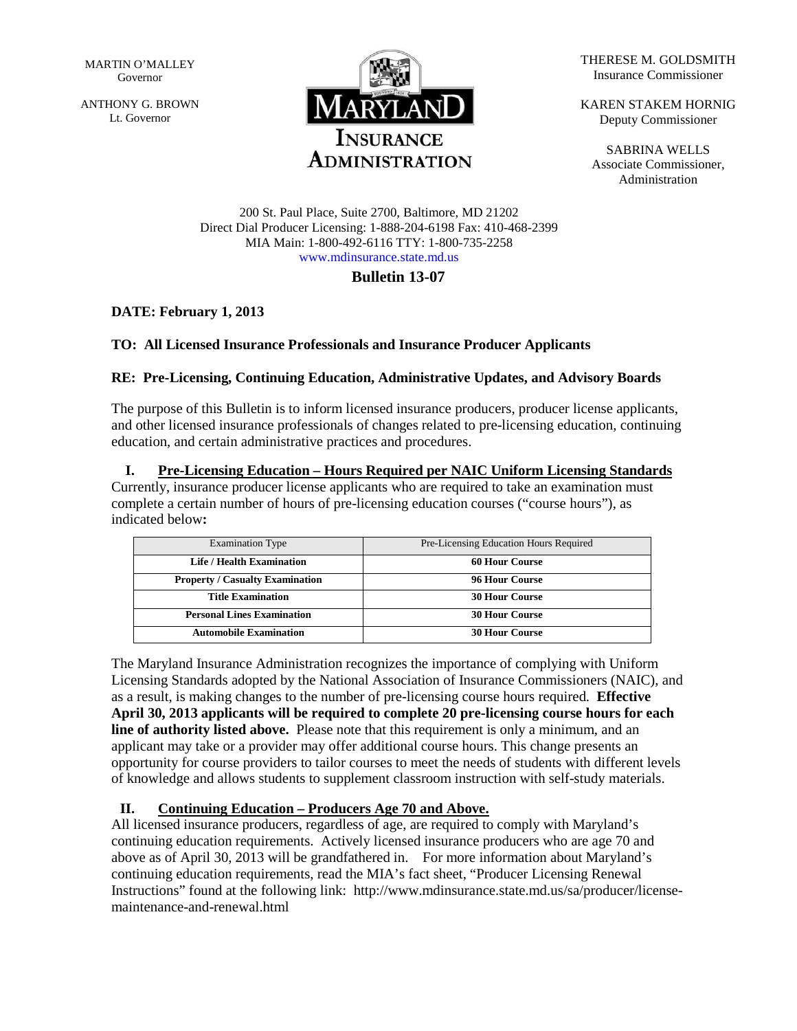MARTIN O'MALLEY Governor

ANTHONY G. BROWN Lt. Governor



THERESE M. GOLDSMITH Insurance Commissioner

KAREN STAKEM HORNIG Deputy Commissioner

SABRINA WELLS Associate Commissioner, Administration

200 St. Paul Place, Suite 2700, Baltimore, MD 21202 Direct Dial Producer Licensing: 1-888-204-6198 Fax: 410-468-2399 MIA Main: 1-800-492-6116 TTY: 1-800-735-2258 [www.mdinsurance.state.md.us](http://www.mdinsurance.state.md.us/)

### **Bulletin 13-07**

## **DATE: February 1, 2013**

### **TO: All Licensed Insurance Professionals and Insurance Producer Applicants**

### **RE: Pre-Licensing, Continuing Education, Administrative Updates, and Advisory Boards**

The purpose of this Bulletin is to inform licensed insurance producers, producer license applicants, and other licensed insurance professionals of changes related to pre-licensing education, continuing education, and certain administrative practices and procedures.

### **I. Pre-Licensing Education – Hours Required per NAIC Uniform Licensing Standards**

Currently, insurance producer license applicants who are required to take an examination must complete a certain number of hours of pre-licensing education courses ("course hours"), as indicated below**:**

| <b>Examination Type</b>                | Pre-Licensing Education Hours Required |
|----------------------------------------|----------------------------------------|
| Life / Health Examination              | <b>60 Hour Course</b>                  |
| <b>Property / Casualty Examination</b> | 96 Hour Course                         |
| <b>Title Examination</b>               | <b>30 Hour Course</b>                  |
| <b>Personal Lines Examination</b>      | <b>30 Hour Course</b>                  |
| <b>Automobile Examination</b>          | <b>30 Hour Course</b>                  |

The Maryland Insurance Administration recognizes the importance of complying with Uniform Licensing Standards adopted by the National Association of Insurance Commissioners (NAIC), and as a result, is making changes to the number of pre-licensing course hours required. **Effective April 30, 2013 applicants will be required to complete 20 pre-licensing course hours for each line of authority listed above.** Please note that this requirement is only a minimum, and an applicant may take or a provider may offer additional course hours. This change presents an opportunity for course providers to tailor courses to meet the needs of students with different levels of knowledge and allows students to supplement classroom instruction with self-study materials.

### **II. Continuing Education – Producers Age 70 and Above.**

All licensed insurance producers, regardless of age, are required to comply with Maryland's continuing education requirements. Actively licensed insurance producers who are age 70 and above as of April 30, 2013 will be grandfathered in. For more information about Maryland's continuing education requirements, read the MIA's fact sheet, "Producer Licensing Renewal Instructions" found at the following link: http://www.mdinsurance.state.md.us/sa/producer/licensemaintenance-and-renewal.html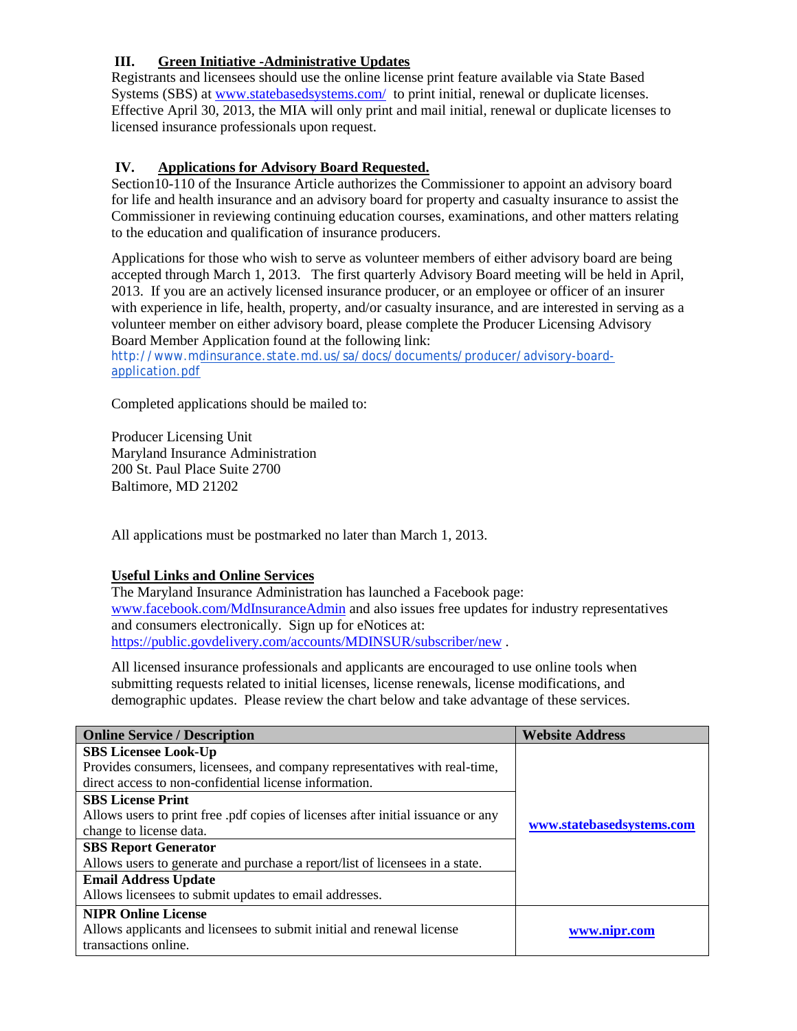# **III. Green Initiative -Administrative Updates**

Registrants and licensees should use the online license print feature available via State Based Systems (SBS) at [www.statebasedsystems.com/](http://www.statebasedsystems.com/) to print initial, renewal or duplicate licenses. Effective April 30, 2013, the MIA will only print and mail initial, renewal or duplicate licenses to licensed insurance professionals upon request.

### **IV. Applications for Advisory Board Requested.**

Section10-110 of the Insurance Article authorizes the Commissioner to appoint an advisory board for life and health insurance and an advisory board for property and casualty insurance to assist the Commissioner in reviewing continuing education courses, examinations, and other matters relating to the education and qualification of insurance producers.

Applications for those who wish to serve as volunteer members of either advisory board are being accepted through March 1, 2013. The first quarterly Advisory Board meeting will be held in April, 2013. If you are an actively licensed insurance producer, or an employee or officer of an insurer with experience in life, health, property, and/or casualty insurance, and are interested in serving as a volunteer member on either advisory board, please complete the Producer Licensing Advisory Board Member Application found at the following link:

[http://www.mdinsurance.state.md.us/sa/docs/documents/producer/advisory-board](http://www.mdinsurance.state.md.us/sa/docs/documents/producer/advisory-board-application.pdf)[application.pdf](http://www.mdinsurance.state.md.us/sa/docs/documents/producer/advisory-board-application.pdf)

Completed applications should be mailed to:

Producer Licensing Unit Maryland Insurance Administration 200 St. Paul Place Suite 2700 Baltimore, MD 21202

All applications must be postmarked no later than March 1, 2013.

#### **Useful Links and Online Services**

The Maryland Insurance Administration has launched a Facebook page: [www.facebook.com/MdInsuranceAdmin](http://www.facebook.com/MdInsuranceAdmin) and also issues free updates for industry representatives and consumers electronically. Sign up for eNotices at: <https://public.govdelivery.com/accounts/MDINSUR/subscriber/new> .

All licensed insurance professionals and applicants are encouraged to use online tools when submitting requests related to initial licenses, license renewals, license modifications, and demographic updates. Please review the chart below and take advantage of these services.

| <b>Online Service / Description</b>                                                   | <b>Website Address</b>    |  |
|---------------------------------------------------------------------------------------|---------------------------|--|
| <b>SBS Licensee Look-Up</b>                                                           |                           |  |
| Provides consumers, licensees, and company representatives with real-time,            | www.statebasedsystems.com |  |
| direct access to non-confidential license information.                                |                           |  |
| <b>SBS License Print</b>                                                              |                           |  |
| Allows users to print free .pdf copies of licenses after initial issuance or any      |                           |  |
| change to license data.                                                               |                           |  |
| <b>SBS Report Generator</b>                                                           |                           |  |
| Allows users to generate and purchase a report/list of licensees in a state.          |                           |  |
| <b>Email Address Update</b>                                                           |                           |  |
| Allows licensees to submit updates to email addresses.                                |                           |  |
| <b>NIPR Online License</b>                                                            |                           |  |
| Allows applicants and licensees to submit initial and renewal license<br>www.nipr.com |                           |  |
| transactions online.                                                                  |                           |  |